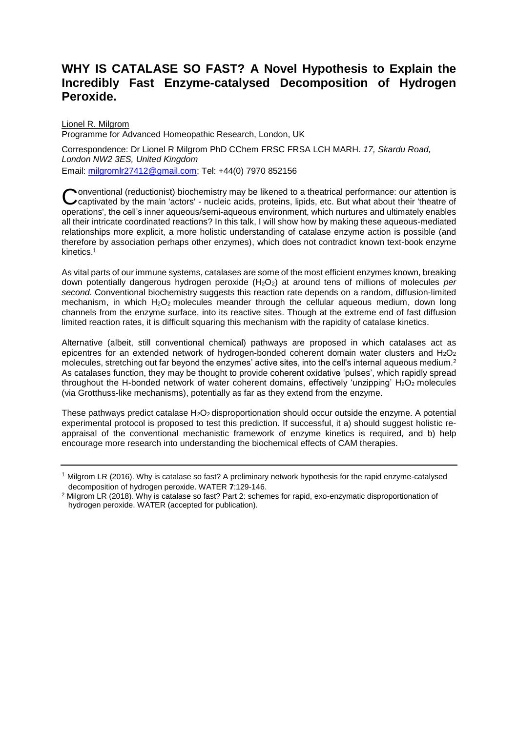## **WHY IS CATALASE SO FAST? A Novel Hypothesis to Explain the Incredibly Fast Enzyme-catalysed Decomposition of Hydrogen Peroxide.**

Lionel R. Milgrom Programme for Advanced Homeopathic Research, London, UK

Correspondence: Dr Lionel R Milgrom PhD CChem FRSC FRSA LCH MARH. *17, Skardu Road, London NW2 3ES, United Kingdom* Email: [milgromlr27412@gmail.com;](mailto:milgromlr27412@gmail.com) Tel: +44(0) 7970 852156

onventional (reductionist) biochemistry may be likened to a theatrical performance: our attention is Conventional (reductionist) biochemistry may be likened to a theatrical performance: our attention is Ccaptivated by the main 'actors' - nucleic acids, proteins, lipids, etc. But what about their 'theatre of operations', the cell's inner aqueous/semi-aqueous environment, which nurtures and ultimately enables all their intricate coordinated reactions? In this talk, I will show how by making these aqueous-mediated relationships more explicit, a more holistic understanding of catalase enzyme action is possible (and therefore by association perhaps other enzymes), which does not contradict known text-book enzyme kinetics. 1

As vital parts of our immune systems, catalases are some of the most efficient enzymes known, breaking down potentially dangerous hydrogen peroxide (H2O2) at around tens of millions of molecules *per second*. Conventional biochemistry suggests this reaction rate depends on a random, diffusion-limited mechanism, in which H<sub>2</sub>O<sub>2</sub> molecules meander through the cellular aqueous medium, down long channels from the enzyme surface, into its reactive sites. Though at the extreme end of fast diffusion limited reaction rates, it is difficult squaring this mechanism with the rapidity of catalase kinetics.

Alternative (albeit, still conventional chemical) pathways are proposed in which catalases act as epicentres for an extended network of hydrogen-bonded coherent domain water clusters and H<sub>2</sub>O<sub>2</sub> molecules, stretching out far beyond the enzymes' active sites, into the cell's internal aqueous medium.<sup>2</sup> As catalases function, they may be thought to provide coherent oxidative 'pulses', which rapidly spread throughout the H-bonded network of water coherent domains, effectively 'unzipping' H<sub>2</sub>O<sub>2</sub> molecules (via Grotthuss-like mechanisms), potentially as far as they extend from the enzyme.

These pathways predict catalase  $H_2O_2$  disproportionation should occur outside the enzyme. A potential experimental protocol is proposed to test this prediction. If successful, it a) should suggest holistic reappraisal of the conventional mechanistic framework of enzyme kinetics is required, and b) help encourage more research into understanding the biochemical effects of CAM therapies.

<sup>1</sup> Milgrom LR (2016). Why is catalase so fast? A preliminary network hypothesis for the rapid enzyme-catalysed decomposition of hydrogen peroxide. WATER **7**:129-146.

<sup>2</sup> Milgrom LR (2018). Why is catalase so fast? Part 2: schemes for rapid, exo-enzymatic disproportionation of hydrogen peroxide. WATER (accepted for publication).